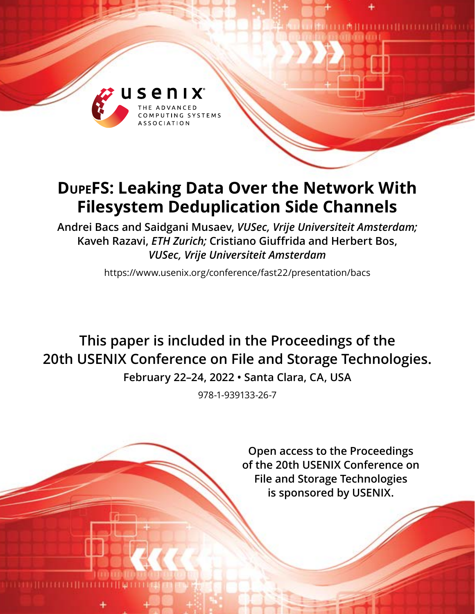

# **DupeFS: Leaking Data Over the Network With Filesystem Deduplication Side Channels**

**Andrei Bacs and Saidgani Musaev,** *VUSec, Vrije Universiteit Amsterdam;* **Kaveh Razavi,** *ETH Zurich;* **Cristiano Giuffrida and Herbert Bos,**  *VUSec, Vrije Universiteit Amsterdam*

https://www.usenix.org/conference/fast22/presentation/bacs

**This paper is included in the Proceedings of the 20th USENIX Conference on File and Storage Technologies.**

**February 22–24, 2022 • Santa Clara, CA, USA**

978-1-939133-26-7

**Open access to the Proceedings of the 20th USENIX Conference on File and Storage Technologies is sponsored by USENIX.**

**THE PHILIPPINE AND THE PERSON AND THE PERSON NEWSFILM**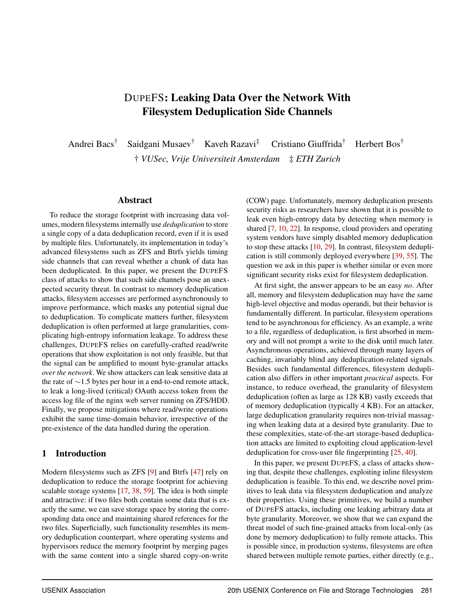## DUPEFS: Leaking Data Over the Network With Filesystem Deduplication Side Channels

Andrei Bacs† Saidgani Musaev† Kaveh Razavi‡ Cristiano Giuffrida† Herbert Bos† † *VUSec, Vrije Universiteit Amsterdam* ‡ *ETH Zurich*

#### Abstract

To reduce the storage footprint with increasing data volumes, modern filesystems internally use *deduplication* to store a single copy of a data deduplication record, even if it is used by multiple files. Unfortunately, its implementation in today's advanced filesystems such as ZFS and Btrfs yields timing side channels that can reveal whether a chunk of data has been deduplicated. In this paper, we present the DUPEFS class of attacks to show that such side channels pose an unexpected security threat. In contrast to memory deduplication attacks, filesystem accesses are performed asynchronously to improve performance, which masks any potential signal due to deduplication. To complicate matters further, filesystem deduplication is often performed at large granularities, complicating high-entropy information leakage. To address these challenges, DUPEFS relies on carefully-crafted read/write operations that show exploitation is not only feasible, but that the signal can be amplified to mount byte-granular attacks *over the network*. We show attackers can leak sensitive data at the rate of ∼1.5 bytes per hour in a end-to-end remote attack, to leak a long-lived (critical) OAuth access token from the access log file of the nginx web server running on ZFS/HDD. Finally, we propose mitigations where read/write operations exhibit the same time-domain behavior, irrespective of the pre-existence of the data handled during the operation.

#### 1 Introduction

Modern filesystems such as ZFS [\[9\]](#page-13-0) and Btrfs [\[47\]](#page-14-0) rely on deduplication to reduce the storage footprint for achieving scalable storage systems [\[17,](#page-13-1) [38,](#page-14-1) [59\]](#page-15-0). The idea is both simple and attractive: if two files both contain some data that is exactly the same, we can save storage space by storing the corresponding data once and maintaining shared references for the two files. Superficially, such functionality resembles its memory deduplication counterpart, where operating systems and hypervisors reduce the memory footprint by merging pages with the same content into a single shared copy-on-write

(COW) page. Unfortunately, memory deduplication presents security risks as researchers have shown that it is possible to leak even high-entropy data by detecting when memory is shared [\[7,](#page-13-2) [10,](#page-13-3) [22\]](#page-13-4). In response, cloud providers and operating system vendors have simply disabled memory deduplication to stop these attacks [\[10,](#page-13-3) [29\]](#page-14-2). In contrast, filesystem deduplication is still commonly deployed everywhere [\[39,](#page-14-3) [55\]](#page-15-1). The question we ask in this paper is whether similar or even more significant security risks exist for filesystem deduplication.

At first sight, the answer appears to be an easy *no*. After all, memory and filesystem deduplication may have the same high-level objective and modus operandi, but their behavior is fundamentally different. In particular, filesystem operations tend to be asynchronous for efficiency. As an example, a write to a file, regardless of deduplication, is first absorbed in memory and will not prompt a write to the disk until much later. Asynchronous operations, achieved through many layers of caching, invariably blind any deduplication-related signals. Besides such fundamental differences, filesystem deduplication also differs in other important *practical* aspects. For instance, to reduce overhead, the granularity of filesystem deduplication (often as large as 128 KB) vastly exceeds that of memory deduplication (typically 4 KB). For an attacker, large deduplication granularity requires non-trivial massaging when leaking data at a desired byte granularity. Due to these complexities, state-of-the-art storage-based deduplication attacks are limited to exploiting cloud application-level deduplication for cross-user file fingerprinting [\[25,](#page-13-5) [40\]](#page-14-4).

In this paper, we present DUPEFS, a class of attacks showing that, despite these challenges, exploiting inline filesystem deduplication is feasible. To this end, we describe novel primitives to leak data via filesystem deduplication and analyze their properties. Using these primitives, we build a number of DUPEFS attacks, including one leaking arbitrary data at byte granularity. Moreover, we show that we can expand the threat model of such fine-grained attacks from local-only (as done by memory deduplication) to fully remote attacks. This is possible since, in production systems, filesystems are often shared between multiple remote parties, either directly (e.g.,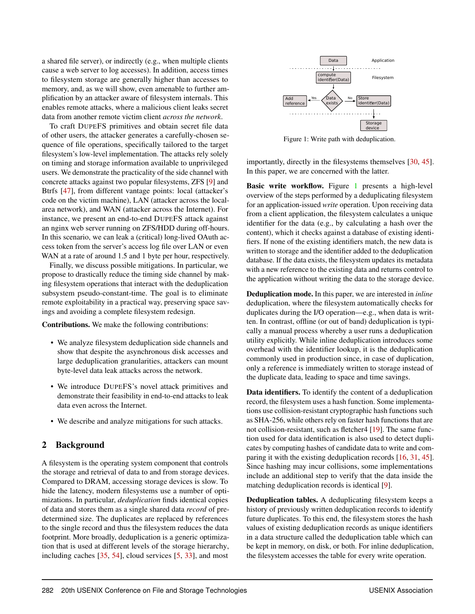a shared file server), or indirectly (e.g., when multiple clients cause a web server to log accesses). In addition, access times to filesystem storage are generally higher than accesses to memory, and, as we will show, even amenable to further amplification by an attacker aware of filesystem internals. This enables remote attacks, where a malicious client leaks secret data from another remote victim client *across the network*.

To craft DUPEFS primitives and obtain secret file data of other users, the attacker generates a carefully-chosen sequence of file operations, specifically tailored to the target filesystem's low-level implementation. The attacks rely solely on timing and storage information available to unprivileged users. We demonstrate the practicality of the side channel with concrete attacks against two popular filesystems, ZFS [\[9\]](#page-13-0) and Btrfs [\[47\]](#page-14-0), from different vantage points: local (attacker's code on the victim machine), LAN (attacker across the localarea network), and WAN (attacker across the Internet). For instance, we present an end-to-end DUPEFS attack against an nginx web server running on ZFS/HDD during off-hours. In this scenario, we can leak a (critical) long-lived OAuth access token from the server's access log file over LAN or even WAN at a rate of around 1.5 and 1 byte per hour, respectively.

Finally, we discuss possible mitigations. In particular, we propose to drastically reduce the timing side channel by making filesystem operations that interact with the deduplication subsystem pseudo-constant-time. The goal is to eliminate remote exploitability in a practical way, preserving space savings and avoiding a complete filesystem redesign.

Contributions. We make the following contributions:

- We analyze filesystem deduplication side channels and show that despite the asynchronous disk accesses and large deduplication granularities, attackers can mount byte-level data leak attacks across the network.
- We introduce DUPEFS's novel attack primitives and demonstrate their feasibility in end-to-end attacks to leak data even across the Internet.
- We describe and analyze mitigations for such attacks.

#### 2 Background

A filesystem is the operating system component that controls the storage and retrieval of data to and from storage devices. Compared to DRAM, accessing storage devices is slow. To hide the latency, modern filesystems use a number of optimizations. In particular, *deduplication* finds identical copies of data and stores them as a single shared data *record* of predetermined size. The duplicates are replaced by references to the single record and thus the filesystem reduces the data footprint. More broadly, deduplication is a generic optimization that is used at different levels of the storage hierarchy, including caches [\[35,](#page-14-5) [54\]](#page-15-2), cloud services [\[5,](#page-13-6) [33\]](#page-14-6), and most

<span id="page-2-0"></span>

Figure 1: Write path with deduplication.

importantly, directly in the filesystems themselves [\[30,](#page-14-7) [45\]](#page-14-8). In this paper, we are concerned with the latter.

Basic write workflow. Figure [1](#page-2-0) presents a high-level overview of the steps performed by a deduplicating filesystem for an application-issued *write* operation. Upon receiving data from a client application, the filesystem calculates a unique identifier for the data (e.g., by calculating a hash over the content), which it checks against a database of existing identifiers. If none of the existing identifiers match, the new data is written to storage and the identifier added to the deduplication database. If the data exists, the filesystem updates its metadata with a new reference to the existing data and returns control to the application without writing the data to the storage device.

Deduplication mode. In this paper, we are interested in *inline* deduplication, where the filesystem automatically checks for duplicates during the I/O operation—e.g., when data is written. In contrast, offline (or out of band) deduplication is typically a manual process whereby a user runs a deduplication utility explicitly. While inline deduplication introduces some overhead with the identifier lookup, it is the deduplication commonly used in production since, in case of duplication, only a reference is immediately written to storage instead of the duplicate data, leading to space and time savings.

Data identifiers. To identify the content of a deduplication record, the filesystem uses a hash function. Some implementations use collision-resistant cryptographic hash functions such as SHA-256, while others rely on faster hash functions that are not collision-resistant, such as fletcher4 [\[19\]](#page-13-7). The same function used for data identification is also used to detect duplicates by computing hashes of candidate data to write and comparing it with the existing deduplication records [\[16,](#page-13-8) [31,](#page-14-9) [45\]](#page-14-8). Since hashing may incur collisions, some implementations include an additional step to verify that the data inside the matching deduplication records is identical [\[9\]](#page-13-0).

Deduplication tables. A deduplicating filesystem keeps a history of previously written deduplication records to identify future duplicates. To this end, the filesystem stores the hash values of existing deduplication records as unique identifiers in a data structure called the deduplication table which can be kept in memory, on disk, or both. For inline deduplication, the filesystem accesses the table for every write operation.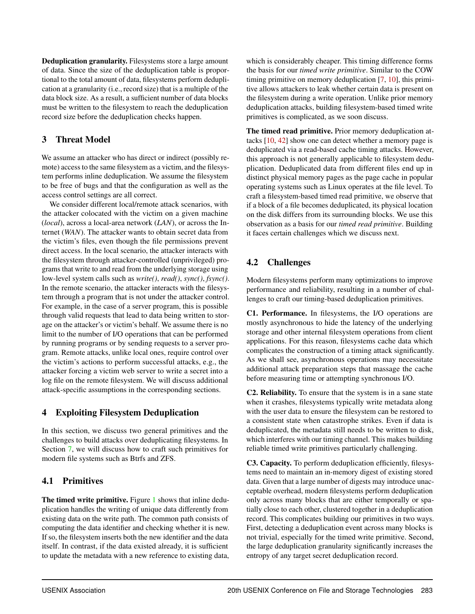Deduplication granularity. Filesystems store a large amount of data. Since the size of the deduplication table is proportional to the total amount of data, filesystems perform deduplication at a granularity (i.e., record size) that is a multiple of the data block size. As a result, a sufficient number of data blocks must be written to the filesystem to reach the deduplication record size before the deduplication checks happen.

## 3 Threat Model

We assume an attacker who has direct or indirect (possibly remote) access to the same filesystem as a victim, and the filesystem performs inline deduplication. We assume the filesystem to be free of bugs and that the configuration as well as the access control settings are all correct.

We consider different local/remote attack scenarios, with the attacker colocated with the victim on a given machine (*local*), across a local-area network (*LAN*), or across the Internet (*WAN*). The attacker wants to obtain secret data from the victim's files, even though the file permissions prevent direct access. In the local scenario, the attacker interacts with the filesystem through attacker-controlled (unprivileged) programs that write to and read from the underlying storage using low-level system calls such as *write()*, *read()*, *sync()*, *fsync()*. In the remote scenario, the attacker interacts with the filesystem through a program that is not under the attacker control. For example, in the case of a server program, this is possible through valid requests that lead to data being written to storage on the attacker's or victim's behalf. We assume there is no limit to the number of I/O operations that can be performed by running programs or by sending requests to a server program. Remote attacks, unlike local ones, require control over the victim's actions to perform successful attacks, e.g., the attacker forcing a victim web server to write a secret into a log file on the remote filesystem. We will discuss additional attack-specific assumptions in the corresponding sections.

## 4 Exploiting Filesystem Deduplication

In this section, we discuss two general primitives and the challenges to build attacks over deduplicating filesystems. In Section [7,](#page-6-0) we will discuss how to craft such primitives for modern file systems such as Btrfs and ZFS.

## 4.1 Primitives

The timed write primitive. Figure [1](#page-2-0) shows that inline deduplication handles the writing of unique data differently from existing data on the write path. The common path consists of computing the data identifier and checking whether it is new. If so, the filesystem inserts both the new identifier and the data itself. In contrast, if the data existed already, it is sufficient to update the metadata with a new reference to existing data, which is considerably cheaper. This timing difference forms the basis for our *timed write primitive*. Similar to the COW timing primitive on memory deduplication [\[7,](#page-13-2) [10\]](#page-13-3), this primitive allows attackers to leak whether certain data is present on the filesystem during a write operation. Unlike prior memory deduplication attacks, building filesystem-based timed write primitives is complicated, as we soon discuss.

The timed read primitive. Prior memory deduplication attacks [\[10,](#page-13-3) [42\]](#page-14-10) show one can detect whether a memory page is deduplicated via a read-based cache timing attacks. However, this approach is not generally applicable to filesystem deduplication. Deduplicated data from different files end up in distinct physical memory pages as the page cache in popular operating systems such as Linux operates at the file level. To craft a filesystem-based timed read primitive, we observe that if a block of a file becomes deduplicated, its physical location on the disk differs from its surrounding blocks. We use this observation as a basis for our *timed read primitive*. Building it faces certain challenges which we discuss next.

## <span id="page-3-0"></span>4.2 Challenges

Modern filesystems perform many optimizations to improve performance and reliability, resulting in a number of challenges to craft our timing-based deduplication primitives.

C1. Performance. In filesystems, the I/O operations are mostly asynchronous to hide the latency of the underlying storage and other internal filesystem operations from client applications. For this reason, filesystems cache data which complicates the construction of a timing attack significantly. As we shall see, asynchronous operations may necessitate additional attack preparation steps that massage the cache before measuring time or attempting synchronous I/O.

C2. Reliability. To ensure that the system is in a sane state when it crashes, filesystems typically write metadata along with the user data to ensure the filesystem can be restored to a consistent state when catastrophe strikes. Even if data is deduplicated, the metadata still needs to be written to disk, which interferes with our timing channel. This makes building reliable timed write primitives particularly challenging.

C3. Capacity. To perform deduplication efficiently, filesystems need to maintain an in-memory digest of existing stored data. Given that a large number of digests may introduce unacceptable overhead, modern filesystems perform deduplication only across many blocks that are either temporally or spatially close to each other, clustered together in a deduplication record. This complicates building our primitives in two ways. First, detecting a deduplication event across many blocks is not trivial, especially for the timed write primitive. Second, the large deduplication granularity significantly increases the entropy of any target secret deduplication record.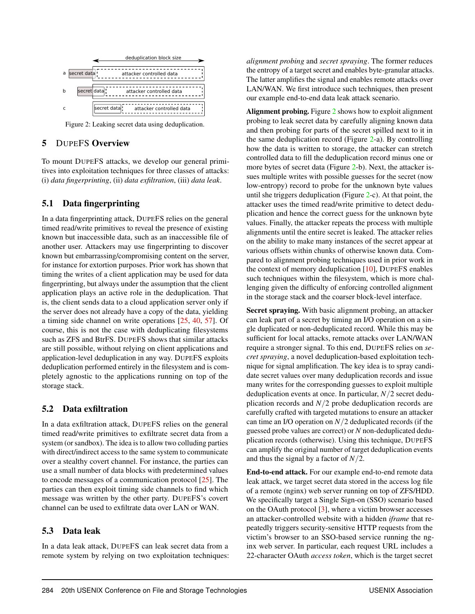<span id="page-4-0"></span>

Figure 2: Leaking secret data using deduplication.

#### 5 DUPEFS Overview

To mount DUPEFS attacks, we develop our general primitives into exploitation techniques for three classes of attacks: (i) *data fingerprinting*, (ii) *data exfiltration*, (iii) *data leak*.

## 5.1 Data fingerprinting

In a data fingerprinting attack, DUPEFS relies on the general timed read/write primitives to reveal the presence of existing known but inaccessible data, such as an inaccessible file of another user. Attackers may use fingerprinting to discover known but embarrassing/compromising content on the server, for instance for extortion purposes. Prior work has shown that timing the writes of a client application may be used for data fingerprinting, but always under the assumption that the client application plays an active role in the deduplication. That is, the client sends data to a cloud application server only if the server does not already have a copy of the data, yielding a timing side channel on write operations [\[25,](#page-13-5) [40,](#page-14-4) [57\]](#page-15-3). Of course, this is not the case with deduplicating filesystems such as ZFS and BtrFS. DUPEFS shows that similar attacks are still possible, without relying on client applications and application-level deduplication in any way. DUPEFS exploits deduplication performed entirely in the filesystem and is completely agnostic to the applications running on top of the storage stack.

## 5.2 Data exfiltration

In a data exfiltration attack, DUPEFS relies on the general timed read/write primitives to exfiltrate secret data from a system (or sandbox). The idea is to allow two colluding parties with direct/indirect access to the same system to communicate over a stealthy covert channel. For instance, the parties can use a small number of data blocks with predetermined values to encode messages of a communication protocol [\[25\]](#page-13-5). The parties can then exploit timing side channels to find which message was written by the other party. DUPEFS's covert channel can be used to exfiltrate data over LAN or WAN.

## 5.3 Data leak

In a data leak attack, DUPEFS can leak secret data from a remote system by relying on two exploitation techniques:

*alignment probing* and *secret spraying*. The former reduces the entropy of a target secret and enables byte-granular attacks. The latter amplifies the signal and enables remote attacks over LAN/WAN. We first introduce such techniques, then present our example end-to-end data leak attack scenario.

Alignment probing. Figure [2](#page-4-0) shows how to exploit alignment probing to leak secret data by carefully aligning known data and then probing for parts of the secret spilled next to it in the same deduplication record (Figure [2-](#page-4-0)a). By controlling how the data is written to storage, the attacker can stretch controlled data to fill the deduplication record minus one or more bytes of secret data (Figure [2-](#page-4-0)b). Next, the attacker issues multiple writes with possible guesses for the secret (now low-entropy) record to probe for the unknown byte values until she triggers deduplication (Figure [2-](#page-4-0)c). At that point, the attacker uses the timed read/write primitive to detect deduplication and hence the correct guess for the unknown byte values. Finally, the attacker repeats the process with multiple alignments until the entire secret is leaked. The attacker relies on the ability to make many instances of the secret appear at various offsets within chunks of otherwise known data. Compared to alignment probing techniques used in prior work in the context of memory deduplication [\[10\]](#page-13-3), DUPEFS enables such techniques within the filesystem, which is more challenging given the difficulty of enforcing controlled alignment in the storage stack and the coarser block-level interface.

Secret spraying. With basic alignment probing, an attacker can leak part of a secret by timing an I/O operation on a single duplicated or non-deduplicated record. While this may be sufficient for local attacks, remote attacks over LAN/WAN require a stronger signal. To this end, DUPEFS relies on *secret spraying*, a novel deduplication-based exploitation technique for signal amplification. The key idea is to spray candidate secret values over many deduplication records and issue many writes for the corresponding guesses to exploit multiple deduplication events at once. In particular, *N*/2 secret deduplication records and *N*/2 probe deduplication records are carefully crafted with targeted mutations to ensure an attacker can time an I/O operation on *N*/2 deduplicated records (if the guessed probe values are correct) or *N* non-deduplicated deduplication records (otherwise). Using this technique, DUPEFS can amplify the original number of target deduplication events and thus the signal by a factor of *N*/2.

End-to-end attack. For our example end-to-end remote data leak attack, we target secret data stored in the access log file of a remote (nginx) web server running on top of ZFS/HDD. We specifically target a Single Sign-on (SSO) scenario based on the OAuth protocol [\[3\]](#page-13-9), where a victim browser accesses an attacker-controlled website with a hidden *iframe* that repeatedly triggers security-sensitive HTTP requests from the victim's browser to an SSO-based service running the nginx web server. In particular, each request URL includes a 22-character OAuth *access token*, which is the target secret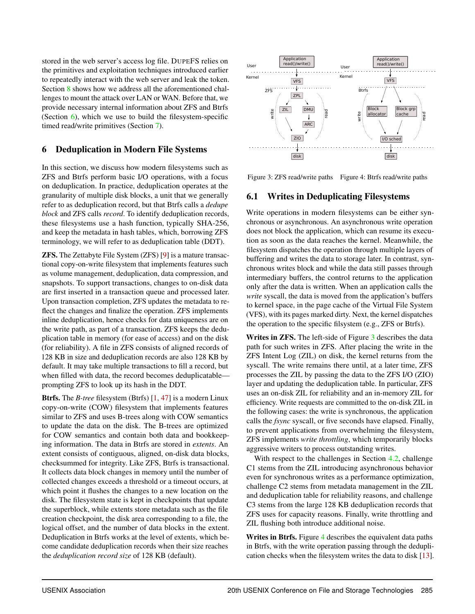stored in the web server's access log file. DUPEFS relies on the primitives and exploitation techniques introduced earlier to repeatedly interact with the web server and leak the token. Section [8](#page-7-0) shows how we address all the aforementioned challenges to mount the attack over LAN or WAN. Before that, we provide necessary internal information about ZFS and Btrfs (Section  $\overline{6}$ ), which we use to build the filesystem-specific timed read/write primitives (Section [7\)](#page-6-0).

## <span id="page-5-0"></span>6 Deduplication in Modern File Systems

In this section, we discuss how modern filesystems such as ZFS and Btrfs perform basic I/O operations, with a focus on deduplication. In practice, deduplication operates at the granularity of multiple disk blocks, a unit that we generally refer to as deduplication record, but that Btrfs calls a *dedupe block* and ZFS calls *record*. To identify deduplication records, these filesystems use a hash function, typically SHA-256, and keep the metadata in hash tables, which, borrowing ZFS terminology, we will refer to as deduplication table (DDT).

ZFS. The Zettabyte File System (ZFS) [\[9\]](#page-13-0) is a mature transactional copy-on-write filesystem that implements features such as volume management, deduplication, data compression, and snapshots. To support transactions, changes to on-disk data are first inserted in a transaction queue and processed later. Upon transaction completion, ZFS updates the metadata to reflect the changes and finalize the operation. ZFS implements inline deduplication, hence checks for data uniqueness are on the write path, as part of a transaction. ZFS keeps the deduplication table in memory (for ease of access) and on the disk (for reliability). A file in ZFS consists of aligned records of 128 KB in size and deduplication records are also 128 KB by default. It may take multiple transactions to fill a record, but when filled with data, the record becomes deduplicatable prompting ZFS to look up its hash in the DDT.

Btrfs. The *B-tree* filesystem (Btrfs) [\[1,](#page-13-10) [47\]](#page-14-0) is a modern Linux copy-on-write (COW) filesystem that implements features similar to ZFS and uses B-trees along with COW semantics to update the data on the disk. The B-trees are optimized for COW semantics and contain both data and bookkeeping information. The data in Btrfs are stored in *extents*. An extent consists of contiguous, aligned, on-disk data blocks, checksummed for integrity. Like ZFS, Btrfs is transactional. It collects data block changes in memory until the number of collected changes exceeds a threshold or a timeout occurs, at which point it flushes the changes to a new location on the disk. The filesystem state is kept in checkpoints that update the superblock, while extents store metadata such as the file creation checkpoint, the disk area corresponding to a file, the logical offset, and the number of data blocks in the extent. Deduplication in Btrfs works at the level of extents, which become candidate deduplication records when their size reaches the *deduplication record size* of 128 KB (default).

<span id="page-5-1"></span>

Figure 3: ZFS read/write paths Figure 4: Btrfs read/write paths

## 6.1 Writes in Deduplicating Filesystems

Write operations in modern filesystems can be either synchronous or asynchronous. An asynchronous write operation does not block the application, which can resume its execution as soon as the data reaches the kernel. Meanwhile, the filesystem dispatches the operation through multiple layers of buffering and writes the data to storage later. In contrast, synchronous writes block and while the data still passes through intermediary buffers, the control returns to the application only after the data is written. When an application calls the *write* syscall, the data is moved from the application's buffers to kernel space, in the page cache of the Virtual File System (VFS), with its pages marked dirty. Next, the kernel dispatches the operation to the specific filsystem (e.g., ZFS or Btrfs).

Writes in ZFS. The left-side of Figure [3](#page-5-1) describes the data path for such writes in ZFS. After placing the write in the ZFS Intent Log (ZIL) on disk, the kernel returns from the syscall. The write remains there until, at a later time, ZFS processes the ZIL by passing the data to the ZFS I/O (ZIO) layer and updating the deduplication table. In particular, ZFS uses an on-disk ZIL for reliability and an in-memory ZIL for efficiency. Write requests are committed to the on-disk ZIL in the following cases: the write is synchronous, the application calls the *fsync* syscall, or five seconds have elapsed. Finally, to prevent applications from overwhelming the filesystem, ZFS implements *write throttling*, which temporarily blocks aggressive writers to process outstanding writes.

With respect to the challenges in Section [4.2,](#page-3-0) challenge C1 stems from the ZIL introducing asynchronous behavior even for synchronous writes as a performance optimization, challenge C2 stems from metadata management in the ZIL and deduplication table for reliability reasons, and challenge C3 stems from the large 128 KB deduplication records that ZFS uses for capacity reasons. Finally, write throttling and ZIL flushing both introduce additional noise.

Writes in Btrfs. Figure [4](#page-5-1) describes the equivalent data paths in Btrfs, with the write operation passing through the deduplication checks when the filesystem writes the data to disk [\[13\]](#page-13-11).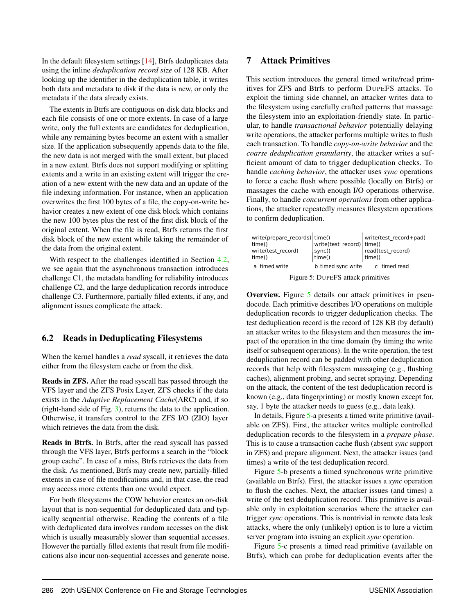In the default filesystem settings [\[14\]](#page-13-12), Btrfs deduplicates data using the inline *deduplication record size* of 128 KB. After looking up the identifier in the deduplication table, it writes both data and metadata to disk if the data is new, or only the metadata if the data already exists.

The extents in Btrfs are contiguous on-disk data blocks and each file consists of one or more extents. In case of a large write, only the full extents are candidates for deduplication, while any remaining bytes become an extent with a smaller size. If the application subsequently appends data to the file, the new data is not merged with the small extent, but placed in a new extent. Btrfs does not support modifying or splitting extents and a write in an existing extent will trigger the creation of a new extent with the new data and an update of the file indexing information. For instance, when an application overwrites the first 100 bytes of a file, the copy-on-write behavior creates a new extent of one disk block which contains the new 100 bytes plus the rest of the first disk block of the original extent. When the file is read, Btrfs returns the first disk block of the new extent while taking the remainder of the data from the original extent.

With respect to the challenges identified in Section [4.2,](#page-3-0) we see again that the asynchronous transaction introduces challenge C1, the metadata handling for reliability introduces challenge C2, and the large deduplication records introduce challenge C3. Furthermore, partially filled extents, if any, and alignment issues complicate the attack.

#### 6.2 Reads in Deduplicating Filesystems

When the kernel handles a *read* syscall, it retrieves the data either from the filesystem cache or from the disk.

Reads in ZFS. After the read syscall has passed through the VFS layer and the ZFS Posix Layer, ZFS checks if the data exists in the *Adaptive Replacement Cache*(ARC) and, if so (right-hand side of Fig. [3\)](#page-5-1), returns the data to the application. Otherwise, it transfers control to the ZFS I/O (ZIO) layer which retrieves the data from the disk.

Reads in Btrfs. In Btrfs, after the read syscall has passed through the VFS layer, Btrfs performs a search in the "block group cache". In case of a miss, Btrfs retrieves the data from the disk. As mentioned, Btrfs may create new, partially-filled extents in case of file modifications and, in that case, the read may access more extents than one would expect.

For both filesystems the COW behavior creates an on-disk layout that is non-sequential for deduplicated data and typically sequential otherwise. Reading the contents of a file with deduplicated data involves random accesses on the disk which is usually measurably slower than sequential accesses. However the partially filled extents that result from file modifications also incur non-sequential accesses and generate noise.

#### <span id="page-6-0"></span>7 Attack Primitives

This section introduces the general timed write/read primitives for ZFS and Btrfs to perform DUPEFS attacks. To exploit the timing side channel, an attacker writes data to the filesystem using carefully crafted patterns that massage the filesystem into an exploitation-friendly state. In particular, to handle *transactional behavior* potentially delaying write operations, the attacker performs multiple writes to flush each transaction. To handle *copy-on-write behavior* and the *coarse deduplication granularity*, the attacker writes a sufficient amount of data to trigger deduplication checks. To handle *caching behavior*, the attacker uses *sync* operations to force a cache flush where possible (locally on Btrfs) or massages the cache with enough I/O operations otherwise. Finally, to handle *concurrent operations* from other applications, the attacker repeatedly measures filesystem operations to confirm deduplication.

<span id="page-6-1"></span>

Figure 5: DUPEFS attack primitives

Overview. Figure [5](#page-6-1) details our attack primitives in pseudocode. Each primitive describes I/O operations on multiple deduplication records to trigger deduplication checks. The test deduplication record is the record of 128 KB (by default) an attacker writes to the filesystem and then measures the impact of the operation in the time domain (by timing the write itself or subsequent operations). In the write operation, the test deduplication record can be padded with other deduplication records that help with filesystem massaging (e.g., flushing caches), alignment probing, and secret spraying. Depending on the attack, the content of the test deduplication record is known (e.g., data fingerprinting) or mostly known except for, say, 1 byte the attacker needs to guess (e.g., data leak).

In details, Figure [5-](#page-6-1)a presents a timed write primitive (available on ZFS). First, the attacker writes multiple controlled deduplication records to the filesystem in a *prepare phase*. This is to cause a transaction cache flush (absent *sync* support in ZFS) and prepare alignment. Next, the attacker issues (and times) a write of the test deduplication record.

Figure [5-](#page-6-1)b presents a timed synchronous write primitive (available on Btrfs). First, the attacker issues a *sync* operation to flush the caches. Next, the attacker issues (and times) a write of the test deduplication record. This primitive is available only in exploitation scenarios where the attacker can trigger *sync* operations. This is nontrivial in remote data leak attacks, where the only (unlikely) option is to lure a victim server program into issuing an explicit *sync* operation.

Figure [5-](#page-6-1)c presents a timed read primitive (available on Btrfs), which can probe for deduplication events after the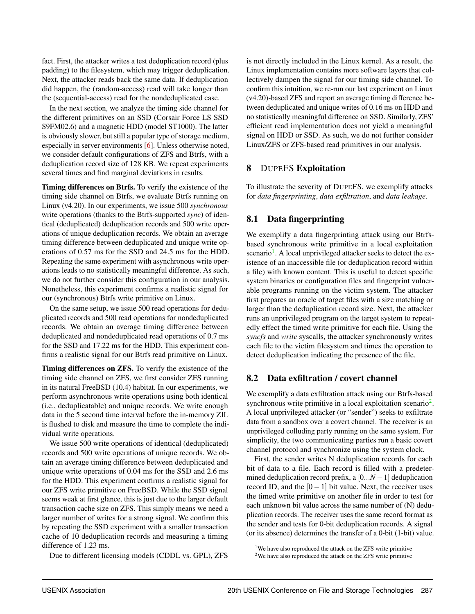fact. First, the attacker writes a test deduplication record (plus padding) to the filesystem, which may trigger deduplication. Next, the attacker reads back the same data. If deduplication did happen, the (random-access) read will take longer than the (sequential-access) read for the nondeduplicated case.

In the next section, we analyze the timing side channel for the different primitives on an SSD (Corsair Force LS SSD S9FM02.6) and a magnetic HDD (model ST1000). The latter is obviously slower, but still a popular type of storage medium, especially in server environments [\[6\]](#page-13-13). Unless otherwise noted, we consider default configurations of ZFS and Btrfs, with a deduplication record size of 128 KB. We repeat experiments several times and find marginal deviations in results.

Timing differences on Btrfs. To verify the existence of the timing side channel on Btrfs, we evaluate Btrfs running on Linux (v4.20). In our experiments, we issue 500 *synchronous* write operations (thanks to the Btrfs-supported *sync*) of identical (deduplicated) deduplication records and 500 write operations of unique deduplication records. We obtain an average timing difference between deduplicated and unique write operations of 0.57 ms for the SSD and 24.5 ms for the HDD. Repeating the same experiment with asynchronous write operations leads to no statistically meaningful difference. As such, we do not further consider this configuration in our analysis. Nonetheless, this experiment confirms a realistic signal for our (synchronous) Btrfs write primitive on Linux.

On the same setup, we issue 500 read operations for deduplicated records and 500 read operations for nondeduplicated records. We obtain an average timing difference between deduplicated and nondeduplicated read operations of 0.7 ms for the SSD and 17.22 ms for the HDD. This experiment confirms a realistic signal for our Btrfs read primitive on Linux.

Timing differences on ZFS. To verify the existence of the timing side channel on ZFS, we first consider ZFS running in its natural FreeBSD (10.4) habitat. In our experiments, we perform asynchronous write operations using both identical (i.e., deduplicatable) and unique records. We write enough data in the 5 second time interval before the in-memory ZIL is flushed to disk and measure the time to complete the individual write operations.

We issue 500 write operations of identical (deduplicated) records and 500 write operations of unique records. We obtain an average timing difference between deduplicated and unique write operations of 0.04 ms for the SSD and 2.6 ms for the HDD. This experiment confirms a realistic signal for our ZFS write primitive on FreeBSD. While the SSD signal seems weak at first glance, this is just due to the larger default transaction cache size on ZFS. This simply means we need a larger number of writes for a strong signal. We confirm this by repeating the SSD experiment with a smaller transaction cache of 10 deduplication records and measuring a timing difference of 1.23 ms.

Due to different licensing models (CDDL vs. GPL), ZFS

is not directly included in the Linux kernel. As a result, the Linux implementation contains more software layers that collectively dampen the signal for our timing side channel. To confirm this intuition, we re-run our last experiment on Linux (v4.20)-based ZFS and report an average timing difference between deduplicated and unique writes of 0.16 ms on HDD and no statistically meaningful difference on SSD. Similarly, ZFS' efficient read implementation does not yield a meaningful signal on HDD or SSD. As such, we do not further consider Linux/ZFS or ZFS-based read primitives in our analysis.

## <span id="page-7-0"></span>8 DUPEFS Exploitation

To illustrate the severity of DUPEFS, we exemplify attacks for *data fingerprinting*, *data exfiltration*, and *data leakage*.

## 8.1 Data fingerprinting

We exemplify a data fingerprinting attack using our Btrfsbased synchronous write primitive in a local exploitation scenario<sup>[1](#page-7-1)</sup>. A local unprivileged attacker seeks to detect the existence of an inaccessible file (or deduplication record within a file) with known content. This is useful to detect specific system binaries or configuration files and fingerprint vulnerable programs running on the victim system. The attacker first prepares an oracle of target files with a size matching or larger than the deduplication record size. Next, the attacker runs an unprivileged program on the target system to repeatedly effect the timed write primitive for each file. Using the *syncfs* and *write* syscalls, the attacker synchronously writes each file to the victim filesystem and times the operation to detect deduplication indicating the presence of the file.

## 8.2 Data exfiltration / covert channel

We exemplify a data exfiltration attack using our Btrfs-based synchronous write primitive in a local exploitation scenario<sup>[2](#page-7-2)</sup>. A local unprivileged attacker (or "sender") seeks to exfiltrate data from a sandbox over a covert channel. The receiver is an unprivileged colluding party running on the same system. For simplicity, the two communicating parties run a basic covert channel protocol and synchronize using the system clock.

First, the sender writes N deduplication records for each bit of data to a file. Each record is filled with a predetermined deduplication record prefix, a  $[0...N-1]$  deduplication record ID, and the  $[0-1]$  bit value. Next, the receiver uses the timed write primitive on another file in order to test for each unknown bit value across the same number of (N) deduplication records. The receiver uses the same record format as the sender and tests for 0-bit deduplication records. A signal (or its absence) determines the transfer of a 0-bit (1-bit) value.

<span id="page-7-1"></span><sup>&</sup>lt;sup>1</sup>We have also reproduced the attack on the ZFS write primitive

<span id="page-7-2"></span><sup>&</sup>lt;sup>2</sup>We have also reproduced the attack on the ZFS write primitive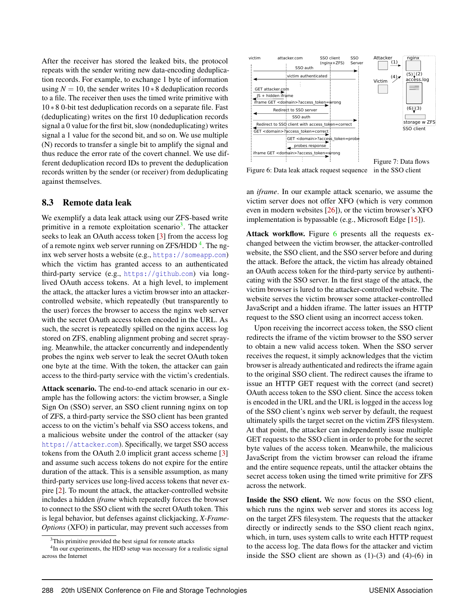After the receiver has stored the leaked bits, the protocol repeats with the sender writing new data-encoding deduplication records. For example, to exchange 1 byte of information using  $N = 10$ , the sender writes  $10 * 8$  deduplication records to a file. The receiver then uses the timed write primitive with 10 ∗ 8 0-bit test deduplication records on a separate file. Fast (deduplicating) writes on the first 10 deduplication records signal a 0 value for the first bit, slow (nondeduplicating) writes signal a 1 value for the second bit, and so on. We use multiple (N) records to transfer a single bit to amplify the signal and thus reduce the error rate of the covert channel. We use different deduplication record IDs to prevent the deduplication records written by the sender (or receiver) from deduplicating against themselves.

#### 8.3 Remote data leak

We exemplify a data leak attack using our ZFS-based write primitive in a remote exploitation scenario<sup>[3](#page-8-0)</sup>. The attacker seeks to leak an OAuth access token [\[3\]](#page-13-9) from the access log of a remote nginx web server running on ZFS/HDD<sup>[4](#page-8-1)</sup>. The nginx web server hosts a website (e.g., [https://someapp](https://someapp.com).com) which the victim has granted access to an authenticated third-party service (e.g., [https://github](https://github.com).com) via longlived OAuth access tokens. At a high level, to implement the attack, the attacker lures a victim browser into an attackercontrolled website, which repeatedly (but transparently to the user) forces the browser to access the nginx web server with the secret OAuth access token encoded in the URL. As such, the secret is repeatedly spilled on the nginx access log stored on ZFS, enabling alignment probing and secret spraying. Meanwhile, the attacker concurrently and independently probes the nginx web server to leak the secret OAuth token one byte at the time. With the token, the attacker can gain access to the third-party service with the victim's credentials.

Attack scenario. The end-to-end attack scenario in our example has the following actors: the victim browser, a Single Sign On (SSO) server, an SSO client running nginx on top of ZFS, a third-party service the SSO client has been granted access to on the victim's behalf via SSO access tokens, and a malicious website under the control of the attacker (say [https://attacker](https://attacker.com).com). Specifically, we target SSO access tokens from the OAuth 2.0 implicit grant access scheme [\[3\]](#page-13-9) and assume such access tokens do not expire for the entire duration of the attack. This is a sensible assumption, as many third-party services use long-lived access tokens that never expire [\[2\]](#page-13-14). To mount the attack, the attacker-controlled website includes a hidden *iframe* which repeatedly forces the browser to connect to the SSO client with the secret OAuth token. This is legal behavior, but defenses against clickjacking, *X-Frame-Options* (XFO) in particular, may prevent such accesses from

<span id="page-8-2"></span>

Figure 6: Data leak attack request sequence

in the SSO client

an *iframe*. In our example attack scenario, we assume the victim server does not offer XFO (which is very common even in modern websites [\[26\]](#page-13-15)), or the victim browser's XFO implementation is bypassable (e.g., Microsoft Edge [\[15\]](#page-13-16)).

Attack workflow. Figure [6](#page-8-2) presents all the requests exchanged between the victim browser, the attacker-controlled website, the SSO client, and the SSO server before and during the attack. Before the attack, the victim has already obtained an OAuth access token for the third-party service by authenticating with the SSO server. In the first stage of the attack, the victim browser is lured to the attacker-controlled website. The website serves the victim browser some attacker-controlled JavaScript and a hidden iframe. The latter issues an HTTP request to the SSO client using an incorrect access token.

Upon receiving the incorrect access token, the SSO client redirects the iframe of the victim browser to the SSO server to obtain a new valid access token. When the SSO server receives the request, it simply acknowledges that the victim browser is already authenticated and redirects the iframe again to the original SSO client. The redirect causes the iframe to issue an HTTP GET request with the correct (and secret) OAuth access token to the SSO client. Since the access token is encoded in the URL and the URL is logged in the access log of the SSO client's nginx web server by default, the request ultimately spills the target secret on the victim ZFS filesystem. At that point, the attacker can independently issue multiple GET requests to the SSO client in order to probe for the secret byte values of the access token. Meanwhile, the malicious JavaScript from the victim browser can reload the iframe and the entire sequence repeats, until the attacker obtains the secret access token using the timed write primitive for ZFS across the network.

Inside the SSO client. We now focus on the SSO client, which runs the nginx web server and stores its access log on the target ZFS filesystem. The requests that the attacker directly or indirectly sends to the SSO client reach nginx, which, in turn, uses system calls to write each HTTP request to the access log. The data flows for the attacker and victim inside the SSO client are shown as  $(1)-(3)$  and  $(4)-(6)$  in

<span id="page-8-1"></span><span id="page-8-0"></span> $3$ This primitive provided the best signal for remote attacks

<sup>&</sup>lt;sup>4</sup>In our experiments, the HDD setup was necessary for a realistic signal across the Internet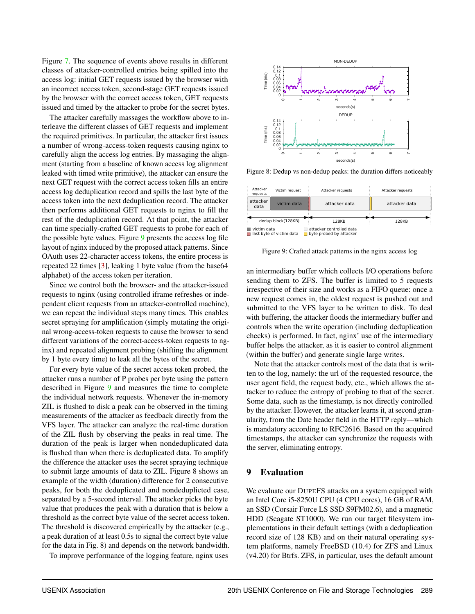Figure [7.](#page-8-2) The sequence of events above results in different classes of attacker-controlled entries being spilled into the access log: initial GET requests issued by the browser with an incorrect access token, second-stage GET requests issued by the browser with the correct access token, GET requests issued and timed by the attacker to probe for the secret bytes.

The attacker carefully massages the workflow above to interleave the different classes of GET requests and implement the required primitives. In particular, the attacker first issues a number of wrong-access-token requests causing nginx to carefully align the access log entries. By massaging the alignment (starting from a baseline of known access log alignment leaked with timed write primitive), the attacker can ensure the next GET request with the correct access token fills an entire access log deduplication record and spills the last byte of the access token into the next deduplication record. The attacker then performs additional GET requests to nginx to fill the rest of the deduplication record. At that point, the attacker can time specially-crafted GET requests to probe for each of the possible byte values. Figure [9](#page-9-0) presents the access log file layout of nginx induced by the proposed attack patterns. Since OAuth uses 22-character access tokens, the entire process is repeated 22 times [\[3\]](#page-13-9), leaking 1 byte value (from the base64 alphabet) of the access token per iteration.

Since we control both the browser- and the attacker-issued requests to nginx (using controlled iframe refreshes or independent client requests from an attacker-controlled machine), we can repeat the individual steps many times. This enables secret spraying for amplification (simply mutating the original wrong-access-token requests to cause the browser to send different variations of the correct-access-token requests to nginx) and repeated alignment probing (shifting the alignment by 1 byte every time) to leak all the bytes of the secret.

For every byte value of the secret access token probed, the attacker runs a number of P probes per byte using the pattern described in Figure [9](#page-9-0) and measures the time to complete the individual network requests. Whenever the in-memory ZIL is flushed to disk a peak can be observed in the timing measurements of the attacker as feedback directly from the VFS layer. The attacker can analyze the real-time duration of the ZIL flush by observing the peaks in real time. The duration of the peak is larger when nondeduplicated data is flushed than when there is deduplicated data. To amplify the difference the attacker uses the secret spraying technique to submit large amounts of data to ZIL. Figure 8 shows an example of the width (duration) difference for 2 consecutive peaks, for both the deduplicated and nondeduplicted case, separated by a 5-second interval. The attacker picks the byte value that produces the peak with a duration that is below a threshold as the correct byte value of the secret access token. The threshold is discovered empirically by the attacker (e.g., a peak duration of at least 0.5s to signal the correct byte value for the data in Fig. 8) and depends on the network bandwidth.

To improve performance of the logging feature, nginx uses



Figure 8: Dedup vs non-dedup peaks: the duration differs noticeably

<span id="page-9-0"></span>

Figure 9: Crafted attack patterns in the nginx access log

an intermediary buffer which collects I/O operations before sending them to ZFS. The buffer is limited to 5 requests irrespective of their size and works as a FIFO queue: once a new request comes in, the oldest request is pushed out and submitted to the VFS layer to be written to disk. To deal with buffering, the attacker floods the intermediary buffer and controls when the write operation (including deduplication checks) is performed. In fact, nginx' use of the intermediary buffer helps the attacker, as it is easier to control alignment (within the buffer) and generate single large writes.

Note that the attacker controls most of the data that is written to the log, namely: the url of the requested resource, the user agent field, the request body, etc., which allows the attacker to reduce the entropy of probing to that of the secret. Some data, such as the timestamp, is not directly controlled by the attacker. However, the attacker learns it, at second granularity, from the Date header field in the HTTP reply—which is mandatory according to RFC2616. Based on the acquired timestamps, the attacker can synchronize the requests with the server, eliminating entropy.

#### 9 Evaluation

We evaluate our DUPEFS attacks on a system equipped with an Intel Core i5-8250U CPU (4 CPU cores), 16 GB of RAM, an SSD (Corsair Force LS SSD S9FM02.6), and a magnetic HDD (Seagate ST1000). We run our target filesystem implementations in their default settings (with a deduplication record size of 128 KB) and on their natural operating system platforms, namely FreeBSD (10.4) for ZFS and Linux (v4.20) for Btrfs. ZFS, in particular, uses the default amount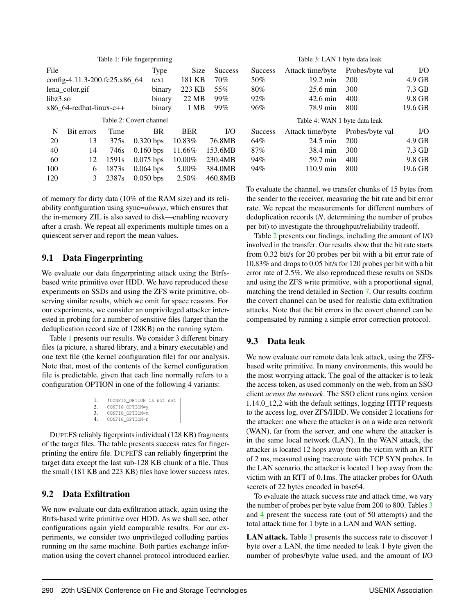<span id="page-10-1"></span><span id="page-10-0"></span>

| Table 1: File fingerprinting |                               |                   |             |             |                |                | Table 3: LAN 1 byte data leak |                 |           |  |
|------------------------------|-------------------------------|-------------------|-------------|-------------|----------------|----------------|-------------------------------|-----------------|-----------|--|
| File                         |                               |                   | Type        | <b>Size</b> | <b>Success</b> | <b>Success</b> | Attack time/byte              | Probes/byte val | <b>VO</b> |  |
|                              | config-4.11.3-200.fc25.x86_64 |                   | text        | 181 KB      | 70%            | 50%            | $19.2 \text{ min}$            | 200             | $4.9$ GB  |  |
| lena_color.gif               |                               |                   | binary      | 223 KB      | 55%            | 80%            | $25.6 \text{ min}$            | 300             | 7.3 GB    |  |
| $libz3$ .so                  |                               |                   | binary      | 22 MB       | 99%            | 92%            | $42.6 \text{ min}$            | 400             | 9.8 GB    |  |
| $x86$ 64-redhat-linux-c++    |                               |                   | binary      | 1 MB        | 99%            | 96%            | 78.9 min                      | 800             | 19.6 GB   |  |
|                              | Table 2: Covert channel       |                   |             |             |                |                | Table 4: WAN 1 byte data leak |                 |           |  |
| N                            | Bit errors                    | Time              | <b>BR</b>   | <b>BER</b>  | <b>VO</b>      | <b>Success</b> | Attack time/byte              | Probes/byte val | $NO$      |  |
| 20                           | 13                            | 375s              | $0.320$ bps | 10.83%      | 76.8MB         | 64%            | $24.5$ min                    | 200             | $4.9$ GB  |  |
| 40                           | 14                            | 746s              | $0.160$ bps | 11.66%      | 153.6MB        | 87%            | 38.4 min                      | 300             | 7.3 GB    |  |
| 60                           | 12                            | 1591 <sub>s</sub> | $0.075$ bps | 10.00%      | 230.4MB        | 94%            | 59.7 min                      | 400             | 9.8 GB    |  |
| 100                          | 6                             | 1873s             | $0.064$ bps | 5.00%       | 384.0MB        | 94%            | $110.9 \text{ min}$           | 800             | 19.6 GB   |  |
| 120                          | 3                             | 2387s             | $0.050$ bps | $2.50\%$    | 460.8MB        |                |                               |                 |           |  |

of memory for dirty data (10% of the RAM size) and its reliability configuration using sync=*always*, which ensures that the in-memory ZIL is also saved to disk—enabling recovery after a crash. We repeat all experiments multiple times on a quiescent server and report the mean values.

## 9.1 Data Fingerprinting

We evaluate our data fingerprinting attack using the Btrfsbased write primitive over HDD. We have reproduced these experiments on SSDs and using the ZFS write primitive, observing similar results, which we omit for space reasons. For our experiments, we consider an unprivileged attacker interested in probing for a number of sensitive files (larger than the deduplication record size of 128KB) on the running sytem.

Table [1](#page-10-0) presents our results. We consider 3 different binary files (a picture, a shared library, and a binary executable) and one text file (the kernel configuration file) for our analysis. Note that, most of the contents of the kernel configuration file is predictable, given that each line normally refers to a configuration OPTION in one of the following 4 variants:

|               | #CONFIG OPTION is not set |  |
|---------------|---------------------------|--|
| 2.            | CONFIG_OPTION=y           |  |
| $\mathcal{F}$ | CONFIG OPTION=m           |  |
| 4             | CONFIG OPTION=n           |  |
|               |                           |  |

DUPEFS reliably figerprints individual (128 KB) fragments of the target files. The table presents success rates for fingerprinting the entire file. DUPEFS can reliably fingerprint the target data except the last sub-128 KB chunk of a file. Thus the small (181 KB and 223 KB) files have lower success rates.

## 9.2 Data Exfiltration

We now evaluate our data exfiltration attack, again using the Btrfs-based write primitive over HDD. As we shall see, other configurations again yield comparable results. For our experiments, we consider two unprivileged colluding parties running on the same machine. Both parties exchange information using the covert channel protocol introduced earlier.

<span id="page-10-3"></span><span id="page-10-2"></span>To evaluate the channel, we transfer chunks of 15 bytes from the sender to the receiver, measuring the bit rate and bit error rate. We repeat the measurements for different numbers of deduplication records (*N*, determining the number of probes per bit) to investigate the throughput/reliability tradeoff.

Table [2](#page-10-1) presents our findings, including the amount of I/O involved in the transfer. Our results show that the bit rate starts from 0.32 bit/s for 20 probes per bit with a bit error rate of 10.83% and drops to 0.05 bit/s for 120 probes per bit with a bit error rate of 2.5%. We also reproduced these results on SSDs and using the ZFS write primitive, with a proportional signal, matching the trend detailed in Section [7.](#page-6-0) Our results confirm the covert channel can be used for realistic data exfiltration attacks. Note that the bit errors in the covert channel can be compensated by running a simple error correction protocol.

## 9.3 Data leak

We now evaluate our remote data leak attack, using the ZFSbased write primitive. In many environments, this would be the most worrying attack. The goal of the attacker is to leak the access token, as used commonly on the web, from an SSO client *across the network*. The SSO client runs nginx version 1.14.0\_12,2 with the default settings, logging HTTP requests to the access log, over ZFS/HDD. We consider 2 locations for the attacker: one where the attacker is on a wide area network (WAN), far from the server, and one where the attacker is in the same local network (LAN). In the WAN attack, the attacker is located 12 hops away from the victim with an RTT of 2 ms, measured using traceroute with TCP SYN probes. In the LAN scenario, the attacker is located 1 hop away from the victim with an RTT of 0.1ms. The attacker probes for OAuth secrets of 22 bytes encoded in base64.

To evaluate the attack success rate and attack time, we vary the number of probes per byte value from 200 to 800. Tables [3](#page-10-2) and [4](#page-10-3) present the success rate (out of 50 attempts) and the total attack time for 1 byte in a LAN and WAN setting.

LAN attack. Table [3](#page-10-2) presents the success rate to discover 1 byte over a LAN, the time needed to leak 1 byte given the number of probes/byte value used, and the amount of I/O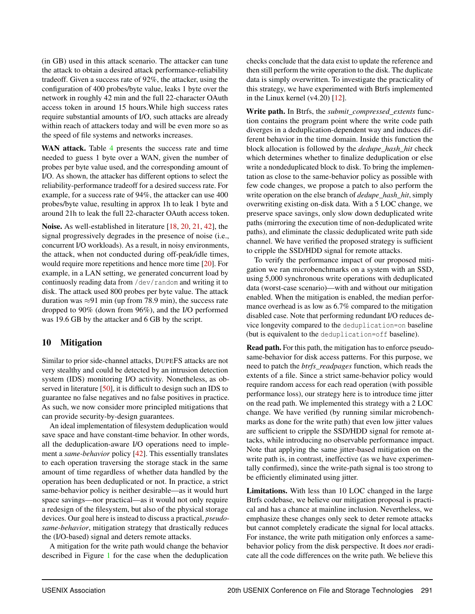(in GB) used in this attack scenario. The attacker can tune the attack to obtain a desired attack performance-reliability tradeoff. Given a success rate of 92%, the attacker, using the configuration of 400 probes/byte value, leaks 1 byte over the network in roughly 42 min and the full 22-character OAuth access token in around 15 hours.While high success rates require substantial amounts of I/O, such attacks are already within reach of attackers today and will be even more so as the speed of file systems and networks increases.

WAN attack. Table [4](#page-10-3) presents the success rate and time needed to guess 1 byte over a WAN, given the number of probes per byte value used, and the corresponding amount of I/O. As shown, the attacker has different options to select the reliability-performance tradeoff for a desired success rate. For example, for a success rate of 94%, the attacker can use 400 probes/byte value, resulting in approx 1h to leak 1 byte and around 21h to leak the full 22-character OAuth access token.

Noise. As well-established in literature [\[18,](#page-13-17) [20,](#page-13-18) [21,](#page-13-19) [42\]](#page-14-10), the signal progressively degrades in the presence of noise (i.e., concurrent I/O workloads). As a result, in noisy environments, the attack, when not conducted during off-peak/idle times, would require more repetitions and hence more time [\[20\]](#page-13-18). For example, in a LAN setting, we generated concurrent load by continuosly reading data from /dev/random and writing it to disk. The attack used 800 probes per byte value. The attack duration was  $\approx$ 91 min (up from 78.9 min), the success rate dropped to 90% (down from 96%), and the I/O performed was 19.6 GB by the attacker and 6 GB by the script.

#### 10 Mitigation

Similar to prior side-channel attacks, DUPEFS attacks are not very stealthy and could be detected by an intrusion detection system (IDS) monitoring I/O activity. Nonetheless, as observed in literature [\[50\]](#page-14-11), it is difficult to design such an IDS to guarantee no false negatives and no false positives in practice. As such, we now consider more principled mitigations that can provide security-by-design guarantees.

An ideal implementation of filesystem deduplication would save space and have constant-time behavior. In other words, all the deduplication-aware I/O operations need to implement a *same-behavior* policy [\[42\]](#page-14-10). This essentially translates to each operation traversing the storage stack in the same amount of time regardless of whether data handled by the operation has been deduplicated or not. In practice, a strict same-behavior policy is neither desirable—as it would hurt space savings—nor practical—as it would not only require a redesign of the filesystem, but also of the physical storage devices. Our goal here is instead to discuss a practical, *pseudosame-behavior*, mitigation strategy that drastically reduces the (I/O-based) signal and deters remote attacks.

A mitigation for the write path would change the behavior described in Figure [1](#page-2-0) for the case when the deduplication checks conclude that the data exist to update the reference and then still perform the write operation to the disk. The duplicate data is simply overwritten. To investigate the practicality of this strategy, we have experimented with Btrfs implemented in the Linux kernel (v4.20) [\[12\]](#page-13-20).

Write path. In Btrfs, the *submit\_compressed\_extents* function contains the program point where the write code path diverges in a deduplication-dependent way and induces different behavior in the time domain. Inside this function the block allocation is followed by the *dedupe\_hash\_hit* check which determines whether to finalize deduplication or else write a nondeduplicated block to disk. To bring the implementation as close to the same-behavior policy as possible with few code changes, we propose a patch to also perform the write operation on the else branch of *dedupe\_hash\_hit*, simply overwriting existing on-disk data. With a 5 LOC change, we preserve space savings, only slow down deduplicated write paths (mirroring the execution time of non-deduplicated write paths), and eliminate the classic deduplicated write path side channel. We have verified the proposed strategy is sufficient to cripple the SSD/HDD signal for remote attacks.

To verify the performance impact of our proposed mitigation we ran microbenchmarks on a system with an SSD, using 5,000 synchronous write operations with deduplicated data (worst-case scenario)—with and without our mitigation enabled. When the mitigation is enabled, the median performance overhead is as low as 6.7% compared to the mitigation disabled case. Note that performing redundant I/O reduces device longevity compared to the deduplication=on baseline (but is equivalent to the deduplication=off baseline).

Read path. For this path, the mitigation has to enforce pseudosame-behavior for disk access patterns. For this purpose, we need to patch the *btrfs\_readpages* function, which reads the extents of a file. Since a strict same-behavior policy would require random access for each read operation (with possible performance loss), our strategy here is to introduce time jitter on the read path. We implemented this strategy with a 2 LOC change. We have verified (by running similar microbenchmarks as done for the write path) that even low jitter values are sufficient to cripple the SSD/HDD signal for remote attacks, while introducing no observable performance impact. Note that applying the same jitter-based mitigation on the write path is, in contrast, ineffective (as we have experimentally confirmed), since the write-path signal is too strong to be efficiently eliminated using jitter.

Limitations. With less than 10 LOC changed in the large Btrfs codebase, we believe our mitigation proposal is practical and has a chance at mainline inclusion. Nevertheless, we emphasize these changes only seek to deter remote attacks but cannot completely eradicate the signal for local attacks. For instance, the write path mitigation only enforces a samebehavior policy from the disk perspective. It does *not* eradicate all the code differences on the write path. We believe this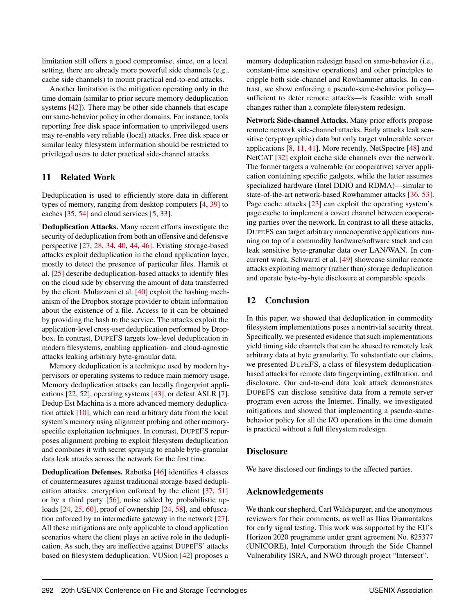limitation still offers a good compromise, since, on a local setting, there are already more powerful side channels (e.g., cache side channels) to mount practical end-to-end attacks.

Another limitation is the mitigation operating only in the time domain (similar to prior secure memory deduplication systems [\[42\]](#page-14-10)). There may be other side channels that escape our same-behavior policy in other domains. For instance, tools reporting free disk space information to unprivileged users may re-enable very reliable (local) attacks. Free disk space or similar leaky filesystem information should be restricted to privileged users to deter practical side-channel attacks.

#### 11 Related Work

Deduplication is used to efficiently store data in different types of memory, ranging from desktop computers [\[4,](#page-13-21) [39\]](#page-14-3) to caches [\[35,](#page-14-5) [54\]](#page-15-2) and cloud services [\[5,](#page-13-6) [33\]](#page-14-6).

Deduplication Attacks. Many recent efforts investigate the security of deduplication from both an offensive and defensive perspective [\[27,](#page-14-12) [28,](#page-14-13) [34,](#page-14-14) [40,](#page-14-4) [44,](#page-14-15) [46\]](#page-14-16). Existing storage-based attacks exploit deduplication in the cloud application layer, mostly to detect the presence of particular files. Harnik et al. [\[25\]](#page-13-5) describe deduplication-based attacks to identify files on the cloud side by observing the amount of data transferred by the client. Mulazzani et al. [\[40\]](#page-14-4) exploit the hashing mechanism of the Dropbox storage provider to obtain information about the existence of a file. Access to it can be obtained by providing the hash to the service. The attacks exploit the application-level cross-user deduplication performed by Dropbox. In contrast, DUPEFS targets low-level deduplication in modern filesystems, enabling application- and cloud-agnostic attacks leaking arbitrary byte-granular data.

Memory deduplication is a technique used by modern hypervisors or operating systems to reduce main memory usage. Memory deduplication attacks can locally fingerprint applications [\[22,](#page-13-4) [52\]](#page-15-4), operating systems [\[43\]](#page-14-17), or defeat ASLR [\[7\]](#page-13-2). Dedup Est Machina is a more advanced memory deduplication attack [\[10\]](#page-13-3), which can read arbitrary data from the local system's memory using alignment probing and other memoryspecific exploitation techniques. In contrast, DUPEFS repurposes alignment probing to exploit filesystem deduplication and combines it with secret spraying to enable byte-granular data leak attacks across the network for the first time.

Deduplication Defenses. Rabotka [\[46\]](#page-14-16) identifies 4 classes of countermeasures against traditional storage-based deduplication attacks: encryption enforced by the client [\[37,](#page-14-18) [51\]](#page-15-5) or by a third party [\[56\]](#page-15-6), noise added by probabilistic up-loads [\[24,](#page-13-22) [25,](#page-13-5) [60\]](#page-15-7), proof of ownership [24, [58\]](#page-15-8), and obfuscation enforced by an intermediate gateway in the network [\[27\]](#page-14-12). All these mitigations are only applicable to cloud application scenarios where the client plays an active role in the deduplication. As such, they are ineffective against DUPEFS' attacks based on filesystem deduplication. VUSion [\[42\]](#page-14-10) proposes a

memory deduplication redesign based on same-behavior (i.e., constant-time sensitive operations) and other principles to cripple both side-channel and Rowhammer attacks. In contrast, we show enforcing a pseudo-same-behavior policy sufficient to deter remote attacks—is feasible with small changes rather than a complete filesystem redesign.

Network Side-channel Attacks. Many prior efforts propose remote network side-channel attacks. Early attacks leak sensitive (cryptographic) data but only target vulnerable server applications [\[8,](#page-13-23) [11,](#page-13-24) [41\]](#page-14-19). More recently, NetSpectre [\[48\]](#page-14-20) and NetCAT [\[32\]](#page-14-21) exploit cache side channels over the network. The former targets a vulnerable (or cooperative) server application containing specific gadgets, while the latter assumes specialized hardware (Intel DDIO and RDMA)—similar to state-of-the-art network-based Rowhammer attacks [\[36,](#page-14-22) [53\]](#page-15-9). Page cache attacks [\[23\]](#page-13-25) can exploit the operating system's page cache to implement a covert channel between cooperating parties over the network. In contrast to all these attacks, DUPEFS can target arbitrary noncooperative applications running on top of a commodity hardware/software stack and can leak sensitive byte-granular data over LAN/WAN. In concurrent work, Schwarzl et al. [\[49\]](#page-14-23) showcase similar remote attacks exploiting memory (rather than) storage deduplication and operate byte-by-byte disclosure at comparable speeds.

#### 12 Conclusion

In this paper, we showed that deduplication in commodity filesystem implementations poses a nontrivial security threat. Specifically, we presented evidence that such implementations yield timing side channels that can be abused to remotely leak arbitrary data at byte granularity. To substantiate our claims, we presented DUPEFS, a class of filesystem deduplicationbased attacks for remote data fingerprinting, exfiltration, and disclosure. Our end-to-end data leak attack demonstrates DUPEFS can disclose sensitive data from a remote server program even across the Internet. Finally, we investigated mitigations and showed that implementing a pseudo-samebehavior policy for all the I/O operations in the time domain is practical without a full filesystem redesign.

#### **Disclosure**

We have disclosed our findings to the affected parties.

#### Acknowledgements

We thank our shepherd, Carl Waldspurger, and the anonymous reviewers for their comments, as well as Ilias Diamantakos for early signal testing. This work was supported by the EU's Horizon 2020 programme under grant agreement No. 825377 (UNICORE), Intel Corporation through the Side Channel Vulnerability ISRA, and NWO through project "Intersect".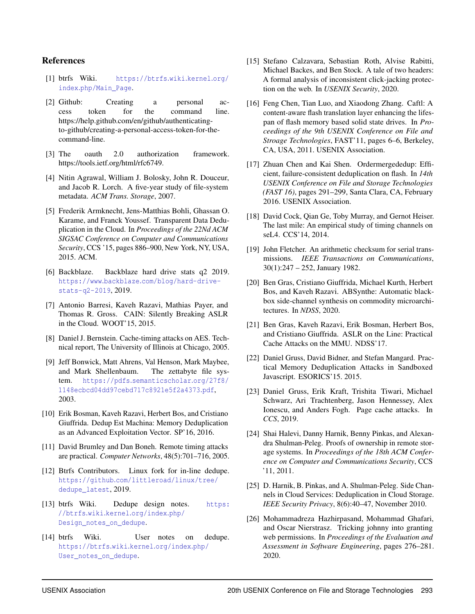#### References

- <span id="page-13-10"></span>[1] btrfs Wiki. [https://btrfs](https://btrfs.wiki.kernel.org/index.php/Main_Page).wiki.kernel.org/ index.[php/Main\\_Page](https://btrfs.wiki.kernel.org/index.php/Main_Page).
- <span id="page-13-14"></span>[2] Github: Creating a personal access token for the command line. https://help.github.com/en/github/authenticatingto-github/creating-a-personal-access-token-for-thecommand-line.
- <span id="page-13-9"></span>[3] The oauth 2.0 authorization framework. https://tools.ietf.org/html/rfc6749.
- <span id="page-13-21"></span>[4] Nitin Agrawal, William J. Bolosky, John R. Douceur, and Jacob R. Lorch. A five-year study of file-system metadata. *ACM Trans. Storage*, 2007.
- <span id="page-13-6"></span>[5] Frederik Armknecht, Jens-Matthias Bohli, Ghassan O. Karame, and Franck Youssef. Transparent Data Deduplication in the Cloud. In *Proceedings of the 22Nd ACM SIGSAC Conference on Computer and Communications Security*, CCS '15, pages 886–900, New York, NY, USA, 2015. ACM.
- <span id="page-13-13"></span>[6] Backblaze. Backblaze hard drive stats q2 2019. https://www.backblaze.[com/blog/hard-drive](https://www.backblaze.com/blog/hard-drive-stats-q2-2019)[stats-q2-2019](https://www.backblaze.com/blog/hard-drive-stats-q2-2019), 2019.
- <span id="page-13-2"></span>[7] Antonio Barresi, Kaveh Razavi, Mathias Payer, and Thomas R. Gross. CAIN: Silently Breaking ASLR in the Cloud. WOOT'15, 2015.
- <span id="page-13-23"></span>[8] Daniel J. Bernstein. Cache-timing attacks on AES. Technical report, The University of Illinois at Chicago, 2005.
- <span id="page-13-0"></span>[9] Jeff Bonwick, Matt Ahrens, Val Henson, Mark Maybee, and Mark Shellenbaum. The zettabyte file system. https://pdfs.[semanticscholar](https://pdfs.semanticscholar.org/27f8/1148ecbcd04dd97cebd717c8921e5f2a4373.pdf).org/27f8/ [1148ecbcd04dd97cebd717c8921e5f2a4373](https://pdfs.semanticscholar.org/27f8/1148ecbcd04dd97cebd717c8921e5f2a4373.pdf).pdf, 2003.
- <span id="page-13-3"></span>[10] Erik Bosman, Kaveh Razavi, Herbert Bos, and Cristiano Giuffrida. Dedup Est Machina: Memory Deduplication as an Advanced Exploitation Vector. SP'16, 2016.
- <span id="page-13-24"></span>[11] David Brumley and Dan Boneh. Remote timing attacks are practical. *Computer Networks*, 48(5):701–716, 2005.
- <span id="page-13-20"></span>[12] Btrfs Contributors. Linux fork for in-line dedupe. https://github.[com/littleroad/linux/tree/](https://github.com/littleroad/linux/tree/dedupe_latest) [dedupe\\_latest](https://github.com/littleroad/linux/tree/dedupe_latest), 2019.
- <span id="page-13-11"></span>[13] btrfs Wiki. Dedupe design notes. [https:](https://btrfs.wiki.kernel.org/index.php/Design_notes_on_dedupe) //btrfs.wiki.kernel.[org/index](https://btrfs.wiki.kernel.org/index.php/Design_notes_on_dedupe).php/ [Design\\_notes\\_on\\_dedupe](https://btrfs.wiki.kernel.org/index.php/Design_notes_on_dedupe).
- <span id="page-13-12"></span>[14] btrfs Wiki. User notes on dedupe. [https://btrfs](https://btrfs.wiki.kernel.org/index.php/User_notes_on_dedupe).wiki.kernel.org/index.php/ [User\\_notes\\_on\\_dedupe](https://btrfs.wiki.kernel.org/index.php/User_notes_on_dedupe).
- <span id="page-13-16"></span>[15] Stefano Calzavara, Sebastian Roth, Alvise Rabitti, Michael Backes, and Ben Stock. A tale of two headers: A formal analysis of inconsistent click-jacking protection on the web. In *USENIX Security*, 2020.
- <span id="page-13-8"></span>[16] Feng Chen, Tian Luo, and Xiaodong Zhang. Caftl: A content-aware flash translation layer enhancing the lifespan of flash memory based solid state drives. In *Proceedings of the 9th USENIX Conference on File and Stroage Technologies*, FAST'11, pages 6–6, Berkeley, CA, USA, 2011. USENIX Association.
- <span id="page-13-1"></span>[17] Zhuan Chen and Kai Shen. Ordermergededup: Efficient, failure-consistent deduplication on flash. In *14th USENIX Conference on File and Storage Technologies (FAST 16)*, pages 291–299, Santa Clara, CA, February 2016. USENIX Association.
- <span id="page-13-17"></span>[18] David Cock, Qian Ge, Toby Murray, and Gernot Heiser. The last mile: An empirical study of timing channels on seL4. CCS'14, 2014.
- <span id="page-13-7"></span>[19] John Fletcher. An arithmetic checksum for serial transmissions. *IEEE Transactions on Communications*, 30(1):247 – 252, January 1982.
- <span id="page-13-18"></span>[20] Ben Gras, Cristiano Giuffrida, Michael Kurth, Herbert Bos, and Kaveh Razavi. ABSynthe: Automatic blackbox side-channel synthesis on commodity microarchitectures. In *NDSS*, 2020.
- <span id="page-13-19"></span>[21] Ben Gras, Kaveh Razavi, Erik Bosman, Herbert Bos, and Cristiano Giuffrida. ASLR on the Line: Practical Cache Attacks on the MMU. NDSS'17.
- <span id="page-13-4"></span>[22] Daniel Gruss, David Bidner, and Stefan Mangard. Practical Memory Deduplication Attacks in Sandboxed Javascript. ESORICS'15. 2015.
- <span id="page-13-25"></span>[23] Daniel Gruss, Erik Kraft, Trishita Tiwari, Michael Schwarz, Ari Trachtenberg, Jason Hennessey, Alex Ionescu, and Anders Fogh. Page cache attacks. In *CCS*, 2019.
- <span id="page-13-22"></span>[24] Shai Halevi, Danny Harnik, Benny Pinkas, and Alexandra Shulman-Peleg. Proofs of ownership in remote storage systems. In *Proceedings of the 18th ACM Conference on Computer and Communications Security*, CCS '11, 2011.
- <span id="page-13-5"></span>[25] D. Harnik, B. Pinkas, and A. Shulman-Peleg. Side Channels in Cloud Services: Deduplication in Cloud Storage. *IEEE Security Privacy*, 8(6):40–47, November 2010.
- <span id="page-13-15"></span>[26] Mohammadreza Hazhirpasand, Mohammad Ghafari, and Oscar Nierstrasz. Tricking johnny into granting web permissions. In *Proceedings of the Evaluation and Assessment in Software Engineering*, pages 276–281. 2020.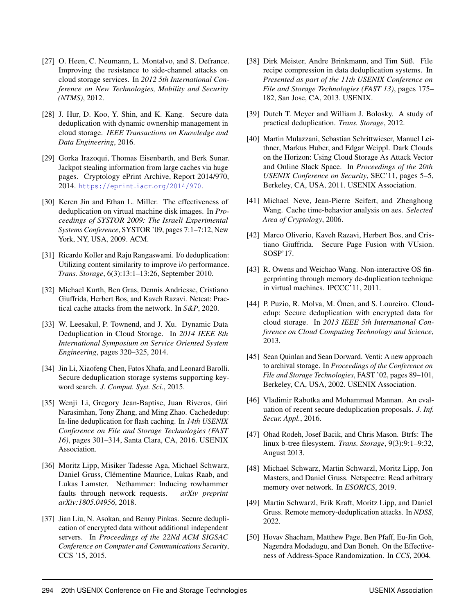- <span id="page-14-12"></span>[27] O. Heen, C. Neumann, L. Montalvo, and S. Defrance. Improving the resistance to side-channel attacks on cloud storage services. In *2012 5th International Conference on New Technologies, Mobility and Security (NTMS)*, 2012.
- <span id="page-14-13"></span>[28] J. Hur, D. Koo, Y. Shin, and K. Kang. Secure data deduplication with dynamic ownership management in cloud storage. *IEEE Transactions on Knowledge and Data Engineering*, 2016.
- <span id="page-14-2"></span>[29] Gorka Irazoqui, Thomas Eisenbarth, and Berk Sunar. Jackpot stealing information from large caches via huge pages. Cryptology ePrint Archive, Report 2014/970, 2014. [https://eprint](https://eprint.iacr.org/2014/970).iacr.org/2014/970.
- <span id="page-14-7"></span>[30] Keren Jin and Ethan L. Miller. The effectiveness of deduplication on virtual machine disk images. In *Proceedings of SYSTOR 2009: The Israeli Experimental Systems Conference*, SYSTOR '09, pages 7:1–7:12, New York, NY, USA, 2009. ACM.
- <span id="page-14-9"></span>[31] Ricardo Koller and Raju Rangaswami. I/o deduplication: Utilizing content similarity to improve i/o performance. *Trans. Storage*, 6(3):13:1–13:26, September 2010.
- <span id="page-14-21"></span>[32] Michael Kurth, Ben Gras, Dennis Andriesse, Cristiano Giuffrida, Herbert Bos, and Kaveh Razavi. Netcat: Practical cache attacks from the network. In *S&P*, 2020.
- <span id="page-14-6"></span>[33] W. Leesakul, P. Townend, and J. Xu. Dynamic Data Deduplication in Cloud Storage. In *2014 IEEE 8th International Symposium on Service Oriented System Engineering*, pages 320–325, 2014.
- <span id="page-14-14"></span>[34] Jin Li, Xiaofeng Chen, Fatos Xhafa, and Leonard Barolli. Secure deduplication storage systems supporting keyword search. *J. Comput. Syst. Sci.*, 2015.
- <span id="page-14-5"></span>[35] Wenji Li, Gregory Jean-Baptise, Juan Riveros, Giri Narasimhan, Tony Zhang, and Ming Zhao. Cachededup: In-line deduplication for flash caching. In *14th USENIX Conference on File and Storage Technologies (FAST 16)*, pages 301–314, Santa Clara, CA, 2016. USENIX Association.
- <span id="page-14-22"></span>[36] Moritz Lipp, Misiker Tadesse Aga, Michael Schwarz, Daniel Gruss, Clémentine Maurice, Lukas Raab, and Lukas Lamster. Nethammer: Inducing rowhammer faults through network requests. *arXiv preprint arXiv:1805.04956*, 2018.
- <span id="page-14-18"></span>[37] Jian Liu, N. Asokan, and Benny Pinkas. Secure deduplication of encrypted data without additional independent servers. In *Proceedings of the 22Nd ACM SIGSAC Conference on Computer and Communications Security*, CCS '15, 2015.
- <span id="page-14-1"></span>[38] Dirk Meister, Andre Brinkmann, and Tim Süß. File recipe compression in data deduplication systems. In *Presented as part of the 11th USENIX Conference on File and Storage Technologies (FAST 13)*, pages 175– 182, San Jose, CA, 2013. USENIX.
- <span id="page-14-3"></span>[39] Dutch T. Meyer and William J. Bolosky. A study of practical deduplication. *Trans. Storage*, 2012.
- <span id="page-14-4"></span>[40] Martin Mulazzani, Sebastian Schrittwieser, Manuel Leithner, Markus Huber, and Edgar Weippl. Dark Clouds on the Horizon: Using Cloud Storage As Attack Vector and Online Slack Space. In *Proceedings of the 20th USENIX Conference on Security*, SEC'11, pages 5–5, Berkeley, CA, USA, 2011. USENIX Association.
- <span id="page-14-19"></span>[41] Michael Neve, Jean-Pierre Seifert, and Zhenghong Wang. Cache time-behavior analysis on aes. *Selected Area of Cryptology*, 2006.
- <span id="page-14-10"></span>[42] Marco Oliverio, Kaveh Razavi, Herbert Bos, and Cristiano Giuffrida. Secure Page Fusion with VUsion. SOSP'17.
- <span id="page-14-17"></span>[43] R. Owens and Weichao Wang. Non-interactive OS fingerprinting through memory de-duplication technique in virtual machines. IPCCC'11, 2011.
- <span id="page-14-15"></span>[44] P. Puzio, R. Molva, M. Önen, and S. Loureiro. Cloudedup: Secure deduplication with encrypted data for cloud storage. In *2013 IEEE 5th International Conference on Cloud Computing Technology and Science*, 2013.
- <span id="page-14-8"></span>[45] Sean Quinlan and Sean Dorward. Venti: A new approach to archival storage. In *Proceedings of the Conference on File and Storage Technologies*, FAST '02, pages 89–101, Berkeley, CA, USA, 2002. USENIX Association.
- <span id="page-14-16"></span>[46] Vladimir Rabotka and Mohammad Mannan. An evaluation of recent secure deduplication proposals. *J. Inf. Secur. Appl.*, 2016.
- <span id="page-14-0"></span>[47] Ohad Rodeh, Josef Bacik, and Chris Mason. Btrfs: The linux b-tree filesystem. *Trans. Storage*, 9(3):9:1–9:32, August 2013.
- <span id="page-14-20"></span>[48] Michael Schwarz, Martin Schwarzl, Moritz Lipp, Jon Masters, and Daniel Gruss. Netspectre: Read arbitrary memory over network. In *ESORICS*, 2019.
- <span id="page-14-23"></span>[49] Martin Schwarzl, Erik Kraft, Moritz Lipp, and Daniel Gruss. Remote memory-deduplication attacks. In *NDSS*, 2022.
- <span id="page-14-11"></span>[50] Hovav Shacham, Matthew Page, Ben Pfaff, Eu-Jin Goh, Nagendra Modadugu, and Dan Boneh. On the Effectiveness of Address-Space Randomization. In *CCS*, 2004.